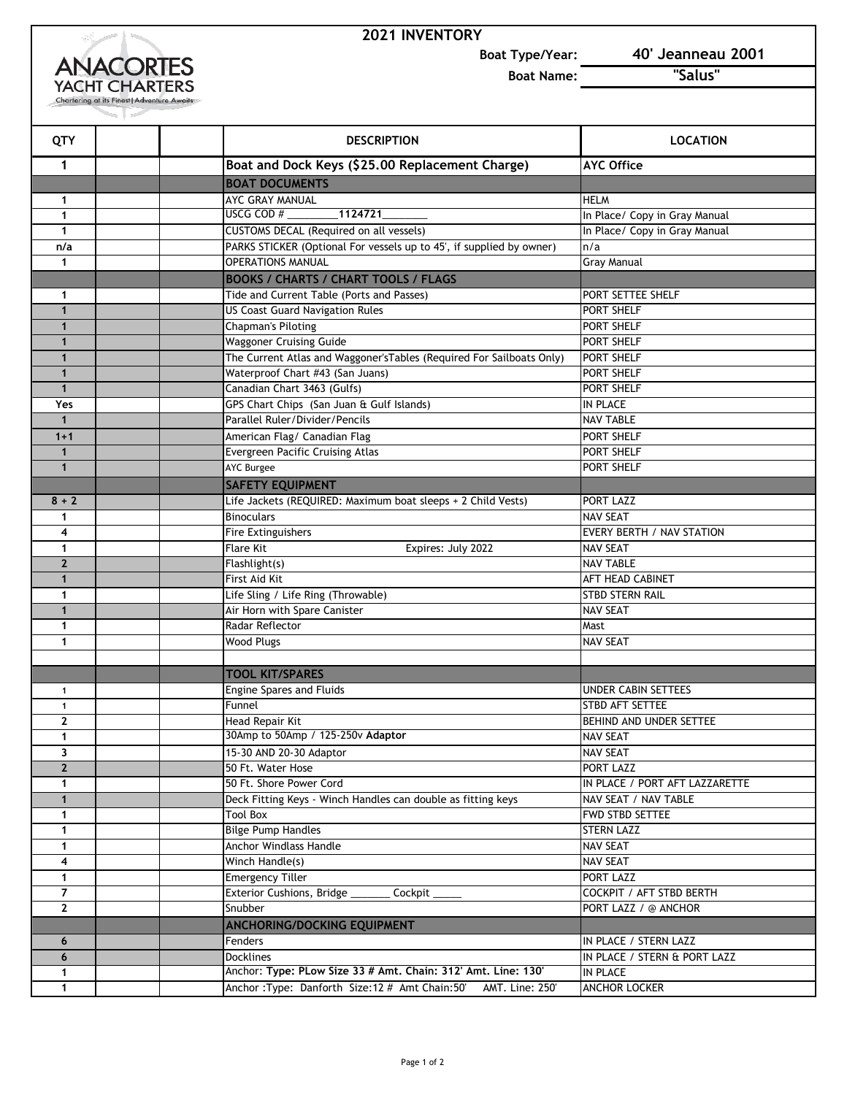## **2021 INVENTORY**



**Boat Type/Year: 40' Jeanneau 2001**

**Boat Name: "Salus"** 

| QTY            |                                           | <b>DESCRIPTION</b>                                                    | <b>LOCATION</b>                |
|----------------|-------------------------------------------|-----------------------------------------------------------------------|--------------------------------|
| 1              |                                           | Boat and Dock Keys (\$25.00 Replacement Charge)                       | <b>AYC Office</b>              |
|                | <b>BOAT DOCUMENTS</b>                     |                                                                       |                                |
| 1              | AYC GRAY MANUAL                           |                                                                       | <b>HELM</b>                    |
| $\mathbf{1}$   | USCG COD $#_$                             | $\boxed{1124721}$                                                     | In Place/ Copy in Gray Manual  |
| $\mathbf{1}$   | CUSTOMS DECAL (Required on all vessels)   |                                                                       | In Place/ Copy in Gray Manual  |
| n/a            |                                           | PARKS STICKER (Optional For vessels up to 45', if supplied by owner)  | n/a                            |
| 1              | <b>OPERATIONS MANUAL</b>                  |                                                                       | <b>Gray Manual</b>             |
|                |                                           | <b>BOOKS / CHARTS / CHART TOOLS / FLAGS</b>                           |                                |
| 1              | Tide and Current Table (Ports and Passes) |                                                                       | PORT SETTEE SHELF              |
| $\mathbf{1}$   | <b>US Coast Guard Navigation Rules</b>    |                                                                       | PORT SHELF                     |
| $\mathbf{1}$   | <b>Chapman's Piloting</b>                 |                                                                       | PORT SHELF                     |
| $\mathbf{1}$   | <b>Waggoner Cruising Guide</b>            |                                                                       | PORT SHELF                     |
| $\mathbf{1}$   |                                           | The Current Atlas and Waggoner's Tables (Required For Sailboats Only) | PORT SHELF                     |
| $\mathbf{1}$   | Waterproof Chart #43 (San Juans)          |                                                                       | PORT SHELF                     |
| $\mathbf{1}$   | Canadian Chart 3463 (Gulfs)               |                                                                       | PORT SHELF                     |
| Yes            | GPS Chart Chips (San Juan & Gulf Islands) |                                                                       | IN PLACE                       |
| $\mathbf{1}$   | Parallel Ruler/Divider/Pencils            |                                                                       | <b>NAV TABLE</b>               |
| $1 + 1$        | American Flag/ Canadian Flag              |                                                                       | PORT SHELF                     |
| $\mathbf{1}$   | <b>Evergreen Pacific Cruising Atlas</b>   |                                                                       | PORT SHELF                     |
| $\mathbf{1}$   | <b>AYC Burgee</b>                         |                                                                       | PORT SHELF                     |
|                | <b>SAFETY EQUIPMENT</b>                   |                                                                       |                                |
| $8 + 2$        |                                           | Life Jackets (REQUIRED: Maximum boat sleeps + 2 Child Vests)          | PORT LAZZ                      |
| 1              | <b>Binoculars</b>                         |                                                                       | <b>NAV SEAT</b>                |
| 4              | Fire Extinguishers                        |                                                                       | EVERY BERTH / NAV STATION      |
| 1              | <b>Flare Kit</b>                          | Expires: July 2022                                                    | <b>NAV SEAT</b>                |
| $\overline{2}$ | Flashlight(s)                             |                                                                       | <b>NAV TABLE</b>               |
| $\mathbf{1}$   | First Aid Kit                             |                                                                       | AFT HEAD CABINET               |
| 1              | Life Sling / Life Ring (Throwable)        |                                                                       | STBD STERN RAIL                |
| $\mathbf{1}$   | Air Horn with Spare Canister              |                                                                       | <b>NAV SEAT</b>                |
| 1              | Radar Reflector                           |                                                                       | Mast                           |
| 1              | <b>Wood Plugs</b>                         |                                                                       | <b>NAV SEAT</b>                |
|                |                                           |                                                                       |                                |
|                | <b>TOOL KIT/SPARES</b>                    |                                                                       |                                |
| 1              | <b>Engine Spares and Fluids</b>           |                                                                       | <b>UNDER CABIN SETTEES</b>     |
| 1              | Funnel                                    |                                                                       | STBD AFT SETTEE                |
| $\mathbf{z}$   | Head Repair Kit                           |                                                                       | BEHIND AND UNDER SETTEE        |
| 1              | 30Amp to 50Amp / 125-250v Adaptor         |                                                                       | <b>NAV SEAT</b>                |
| 3              | 15-30 AND 20-30 Adaptor                   |                                                                       | <b>NAV SEAT</b>                |
| 2 <sup>1</sup> | 50 Ft. Water Hose                         |                                                                       | PORT LAZZ                      |
| $\mathbf{1}$   | 50 Ft. Shore Power Cord                   |                                                                       | IN PLACE / PORT AFT LAZZARETTE |
| $\mathbf{1}$   |                                           | Deck Fitting Keys - Winch Handles can double as fitting keys          | NAV SEAT / NAV TABLE           |
| $\mathbf{1}$   | <b>Tool Box</b>                           |                                                                       | FWD STBD SETTEE                |
| $\mathbf{1}$   | <b>Bilge Pump Handles</b>                 |                                                                       | <b>STERN LAZZ</b>              |
| $\mathbf{1}$   | <b>Anchor Windlass Handle</b>             |                                                                       | <b>NAV SEAT</b>                |
| 4              | Winch Handle(s)                           |                                                                       | <b>NAV SEAT</b>                |
| $\mathbf{1}$   | <b>Emergency Tiller</b>                   |                                                                       | PORT LAZZ                      |
| 7              | Exterior Cushions, Bridge                 | Cockpit                                                               | COCKPIT / AFT STBD BERTH       |
| $\mathbf{2}$   | Snubber                                   |                                                                       | PORT LAZZ / @ ANCHOR           |
|                | <b>ANCHORING/DOCKING EQUIPMENT</b>        |                                                                       |                                |
| 6              | Fenders                                   |                                                                       | IN PLACE / STERN LAZZ          |
| 6              | <b>Docklines</b>                          |                                                                       | IN PLACE / STERN & PORT LAZZ   |
| $\mathbf{1}$   |                                           | Anchor: Type: PLow Size 33 # Amt. Chain: 312' Amt. Line: 130'         | IN PLACE                       |
| $\mathbf{1}$   |                                           | Anchor: Type: Danforth Size: 12 # Amt Chain: 50'<br>AMT. Line: 250'   | ANCHOR LOCKER                  |